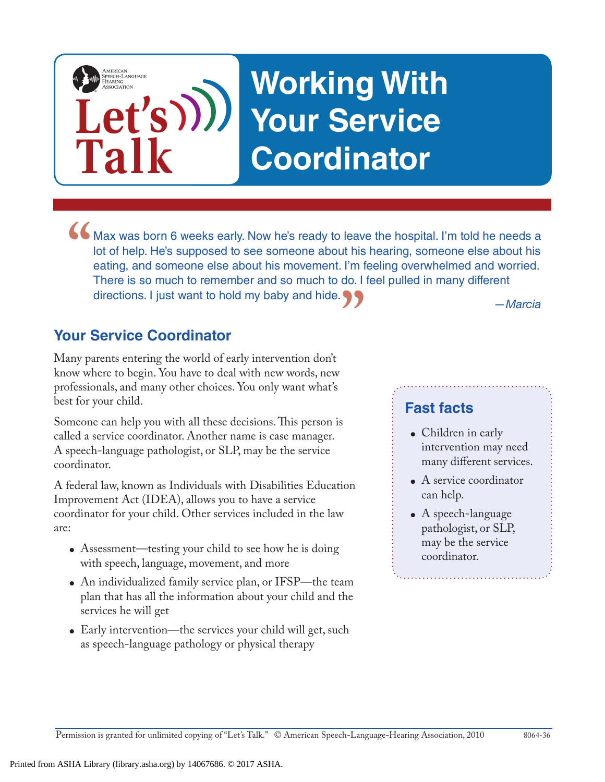# **Let's Working With Your Service Coordinator**

**Max was born 6 weeks early. Now he's ready to leave the hospital. I'm told he needs a lot of help. He's supposed to see someone about his hearing, someone else about his eating, and someone else about his movement. I'm fe** lot of help. He's supposed to see someone about his hearing, someone else about his eating, and someone else about his movement. I'm feeling overwhelmed and worried. There is so much to remember and so much to do. I feel pulled in many different directions. I just want to hold my baby and hide. **"**

#### **Your Service Coordinator**

**Talk**

AMERICAN<br>SPEECH-LANGUAGE-<br>HEARING

Many parents entering the world of early intervention don't know where to begin. You have to deal with new words, new professionals, and many other choices. You only want what's best for your child.

Someone can help you with all these decisions. This person is called a service coordinator. Another name is case manager. A speech-language pathologist, or SLP, may be the service coordinator.

A federal law, known as Individuals with Disabilities Education Improvement Act (IDEA), allows you to have a service coordinator for your child. Other services included in the law are:

- Assessment—testing your child to see how he is doing with speech, language, movement, and more
- An individualized family service plan, or IFSP—the team plan that has all the information about your child and the services he will get
- Early intervention—the services your child will get, such as speech-language pathology or physical therapy

*—Marcia*

### **Fast facts**

- Children in early intervention may need many different services.
- A service coordinator can help.
- $\bullet$  A speech-language pathologist, or SLP, may be the service coordinator.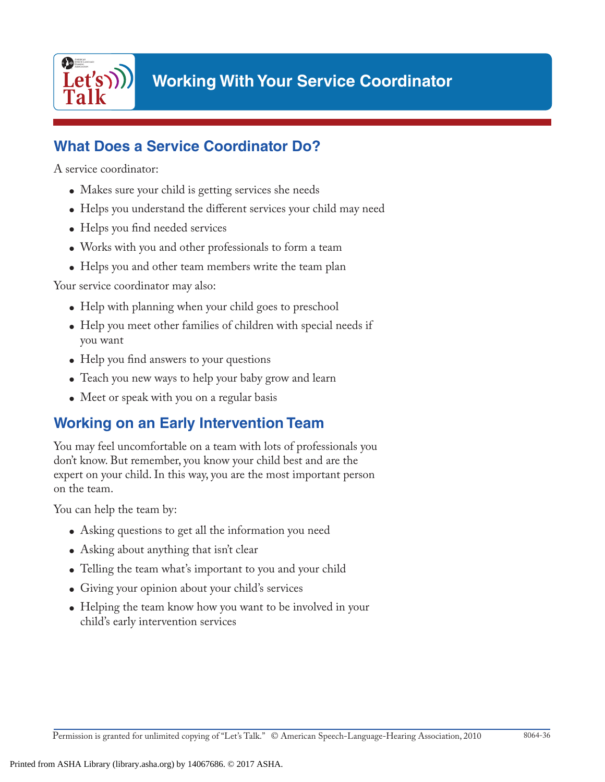

## **What Does a Service Coordinator Do?**

A service coordinator:

- Makes sure your child is getting services she needs
- Helps you understand the different services your child may need
- Helps you find needed services
- Works with you and other professionals to form a team
- Helps you and other team members write the team plan

Your service coordinator may also:

- Help with planning when your child goes to preschool
- Help you meet other families of children with special needs if you want
- Help you find answers to your questions
- Teach you new ways to help your baby grow and learn
- Meet or speak with you on a regular basis

### **Working on an Early Intervention Team**

You may feel uncomfortable on a team with lots of professionals you don't know. But remember, you know your child best and are the expert on your child. In this way, you are the most important person on the team.

You can help the team by:

- Asking questions to get all the information you need
- Asking about anything that isn't clear
- Telling the team what's important to you and your child
- Giving your opinion about your child's services
- Helping the team know how you want to be involved in your child's early intervention services